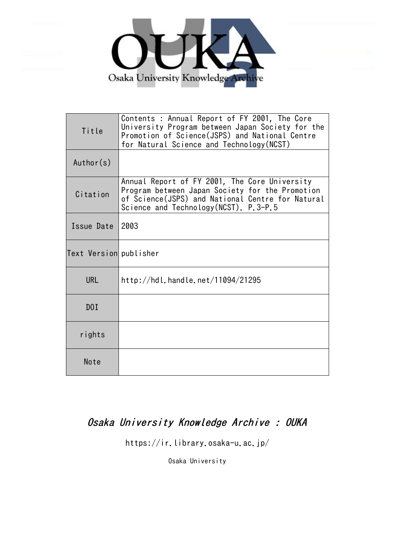

| Title                  | Contents : Annual Report of FY 2001, The Core<br>University Program between Japan Society for the<br>Promotion of Science(JSPS) and National Centre<br>for Natural Science and Technology (NCST) |
|------------------------|--------------------------------------------------------------------------------------------------------------------------------------------------------------------------------------------------|
| Author(s)              |                                                                                                                                                                                                  |
| Citation               | Annual Report of FY 2001, The Core University<br>Program between Japan Society for the Promotion<br>of Science(JSPS) and National Centre for Natural<br>Science and Technology (NCST). P.3-P.5   |
| Issue Date             | 2003                                                                                                                                                                                             |
| Text Version publisher |                                                                                                                                                                                                  |
| <b>URL</b>             | http://hdl.handle.net/11094/21295                                                                                                                                                                |
| D0I                    |                                                                                                                                                                                                  |
| rights                 |                                                                                                                                                                                                  |
| Note                   |                                                                                                                                                                                                  |

## Osaka University Knowledge Archive : OUKA

https://ir.library.osaka-u.ac.jp/

Osaka University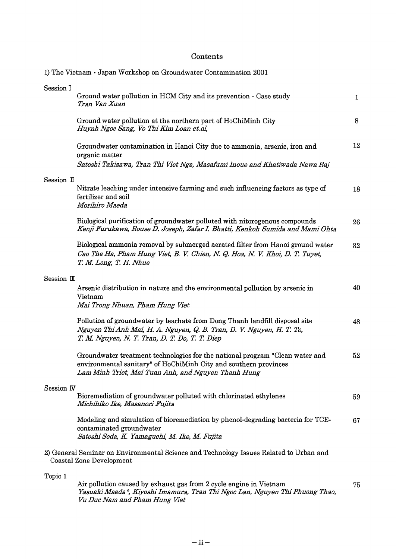## Contents

|             | 1) The Vietnam - Japan Workshop on Groundwater Contamination 2001                                                                                                                                       |              |
|-------------|---------------------------------------------------------------------------------------------------------------------------------------------------------------------------------------------------------|--------------|
| Session I   | Ground water pollution in HCM City and its prevention - Case study<br>Tran Van Xuan                                                                                                                     | $\mathbf{1}$ |
|             | Ground water pollution at the northern part of HoChiMinh City<br>Huynh Ngoc Sang, Vo Thi Kim Loan et.al,                                                                                                | 8            |
|             | Groundwater contamination in Hanoi City due to ammonia, arsenic, iron and<br>organic matter<br>Satoshi Takizawa, Tran Thi Viet Nga, Masafumi Inoue and Khatiwada Nawa Raj                               | 12           |
| Session II  |                                                                                                                                                                                                         |              |
|             | Nitrate leaching under intensive farming and such influencing factors as type of<br>fertilizer and soil<br>Morihiro Maeda                                                                               | 18           |
|             | Biological purification of groundwater polluted with nitorogenous compounds<br>Kenji Furukawa, Rouse D. Joseph, Zafar I. Bhatti, Kenkoh Sumida and Mami Ohta                                            | 26           |
|             | Biological ammonia removal by submerged aerated filter from Hanoi ground water<br>Cao The Ha, Pham Hung Viet, B. V. Chien, N. Q. Hoa, N. V. Khoi, D. T. Tuyet,<br>T. M. Long, T. H. Nhue                | 32           |
| Session III |                                                                                                                                                                                                         |              |
|             | Arsenic distribution in nature and the environmental pollution by arsenic in<br>Vietnam<br>Mai Trong Nhuan, Pham Hung Viet                                                                              | 40           |
|             | Pollution of groundwater by leachate from Dong Thanh landfill disposal site<br>Nguyen Thi Anh Mai, H. A. Nguyen, Q. B. Tran, D. V. Nguyen, H. T. To,<br>T. M. Nguyen, N. T. Tran, D. T. Do, T. T. Diep  | 48           |
|             | Groundwater treatment technologies for the national program "Clean water and<br>environmental sanitary" of HoChiMinh City and southern provinces<br>Lam Minh Triet, Mai Tuan Anh, and Nguyen Thanh Hung | 52           |
| Session IV  | Bioremediation of groundwater polluted with chlorinated ethylenes<br>Michihiko Ike, Masanori Fujita                                                                                                     | 59           |
|             | Modeling and simulation of bioremediation by phenol-degrading bacteria for TCE-<br>contaminated groundwater<br>Satoshi Soda, K. Yamaguchi, M. Ike, M. Fujita                                            | 67           |
|             | 2) General Seminar on Environmental Science and Technology Issues Related to Urban and<br>Coastal Zone Development                                                                                      |              |
| Topic 1     |                                                                                                                                                                                                         |              |
|             | Air pollution caused by exhaust gas from 2 cycle engine in Vietnam<br>Yasuaki Maeda*, Kiyoshi Imamura, Tran Thi Ngoc Lan, Nguyen Thi Phuong Thao,<br>Vu Duc Nam and Pham Hung Viet                      | 75           |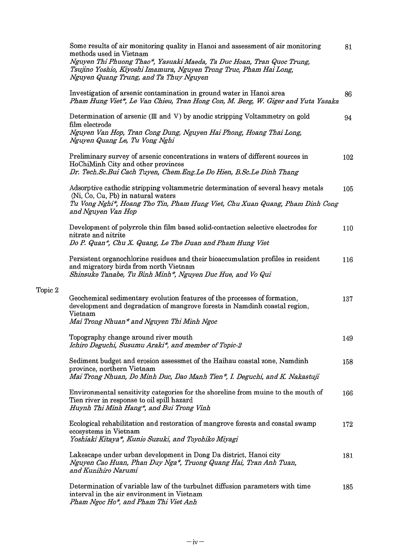| Some results of air monitoring quality in Hanoi and assessment of air monitoring<br>methods used in Vietnam<br>Nguyen Thi Phuong Thao*, Yasuaki Maeda, Ta Duc Hoan, Tran Quoc Trung,<br>Tsujino Yoshio, Kiyoshi Imamura, Nguyen Trong Truc, Pham Hai Long,<br>Nguyen Quang Trung, and Ta Thuy Nguyen | 81  |
|------------------------------------------------------------------------------------------------------------------------------------------------------------------------------------------------------------------------------------------------------------------------------------------------------|-----|
| Investigation of arsenic contamination in ground water in Hanoi area<br>Pham Hung Viet*, Le Van Chieu, Tran Hong Con, M. Berg, W. Giger and Yuta Yasaka                                                                                                                                              | 86  |
| Determination of arsenic (III and V) by anodic stripping Voltammetry on gold<br>film electrode<br>Nguyen Van Hop, Tran Cong Dung, Nguyen Hai Phong, Hoang Thai Long,<br>Nguyen Quang Le, Tu Vong Nghi                                                                                                | 94  |
| Preliminary survey of arsenic concentrations in waters of different sources in<br>HoChiMinh City and other provinces<br>Dr. Tech.Sc.Bui Cach Tuyen, Chem.Eng.Le Do Hien, B.Sc.Le Dinh Thang                                                                                                          | 102 |
| Adsorptive cathodic stripping voltammetric determination of several heavy metals<br>(Ni, Co, Cu, Pb) in natural waters<br>Tu Vong Nghi*, Hoang Tho Tin, Pham Hung Viet, Chu Xuan Quang, Pham Dinh Cong<br>and Nguyen Van Hop                                                                         | 105 |
| Development of polyrrole thin film based solid-contaction selective electrodes for<br>nitrate and nitrite<br>Do P. Quan*, Chu X. Quang, Le The Duan and Pham Hung Viet                                                                                                                               | 110 |
| Persistent organochlorine residues and their bioaccumulation profiles in resident<br>and migratory birds from north Vietnam<br>Shinsuke Tanabe, Tu Binh Minh*, Nguyen Duc Hue, and Vo Qui                                                                                                            | 116 |
| Geochemical sedimentary evolution features of the processes of formation,<br>development and degradation of mangrove forests in Namdinh coastal region,<br>Vietnam<br>Mai Trong Nhuan* and Nguyen Thi Minh Ngoc                                                                                      | 137 |
| Topography change around river mouth<br>Ichiro Deguchi, Susumu Araki*, and member of Topic-2                                                                                                                                                                                                         | 149 |
| Sediment budget and erosion assessmet of the Haihau coastal zone, Namdinh<br>province, northern Vietnam<br>Mai Trong Nhuan, Do Minh Duc, Dao Manh Tien*, I. Deguchi, and K. Nakastuji                                                                                                                | 158 |
| Environmental sensitivity categories for the shoreline from muine to the mouth of<br>Tien river in response to oil spill hazard<br>Huynh Thi Minh Hang*, and Bui Trong Vinh                                                                                                                          | 166 |
| Ecological rehabilitation and restoration of mangrove forests and coastal swamp<br>ecosystems in Vietnam<br>Yoshiaki Kitaya*, Kunio Suzuki, and Toyohiko Miyagi                                                                                                                                      | 172 |
| Lakescape under urban development in Dong Da district, Hanoi city<br>Nguyen Cao Huan, Phan Duy Nga*, Truong Quang Hai, Tran Anh Tuan,<br>and Kunihiro Narumi                                                                                                                                         | 181 |
| Determination of variable law of the turbulnet diffusion parameters with time<br>interval in the air environment in Vietnam<br>Pham Ngoc Ho*, and Pham Thi Viet Anh                                                                                                                                  | 185 |
|                                                                                                                                                                                                                                                                                                      |     |

Topic 2